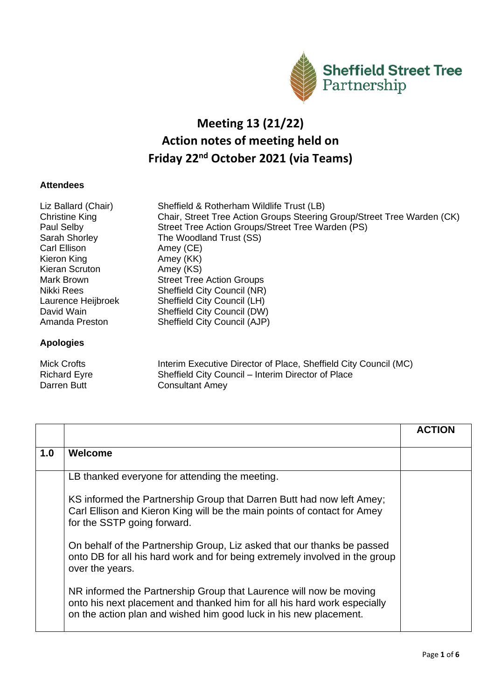

## **Meeting 13 (21/22) Action notes of meeting held on Friday 22nd October 2021 (via Teams)**

## **Attendees**

| Liz Ballard (Chair)<br>Christine King<br>Paul Selby | Sheffield & Rotherham Wildlife Trust (LB)<br>Chair, Street Tree Action Groups Steering Group/Street Tree Warden (CK)<br>Street Tree Action Groups/Street Tree Warden (PS) |
|-----------------------------------------------------|---------------------------------------------------------------------------------------------------------------------------------------------------------------------------|
| Sarah Shorley                                       | The Woodland Trust (SS)                                                                                                                                                   |
| Carl Ellison                                        | Amey (CE)                                                                                                                                                                 |
| Kieron King                                         | Amey (KK)                                                                                                                                                                 |
| Kieran Scruton                                      | Amey (KS)                                                                                                                                                                 |
| Mark Brown                                          | <b>Street Tree Action Groups</b>                                                                                                                                          |
| Nikki Rees                                          | <b>Sheffield City Council (NR)</b>                                                                                                                                        |
| Laurence Heijbroek                                  | Sheffield City Council (LH)                                                                                                                                               |
| David Wain                                          | Sheffield City Council (DW)                                                                                                                                               |
| Amanda Preston                                      | Sheffield City Council (AJP)                                                                                                                                              |
| <b>Apologies</b>                                    |                                                                                                                                                                           |

| <b>Mick Crofts</b>  | Interim Executive Director of Place, Sheffield City Council (MC) |
|---------------------|------------------------------------------------------------------|
| <b>Richard Eyre</b> | Sheffield City Council – Interim Director of Place               |
| Darren Butt         | <b>Consultant Amey</b>                                           |

|     |                                                                                                                                                                                                                     | <b>ACTION</b> |
|-----|---------------------------------------------------------------------------------------------------------------------------------------------------------------------------------------------------------------------|---------------|
| 1.0 | Welcome                                                                                                                                                                                                             |               |
|     | LB thanked everyone for attending the meeting.                                                                                                                                                                      |               |
|     | KS informed the Partnership Group that Darren Butt had now left Amey;<br>Carl Ellison and Kieron King will be the main points of contact for Amey<br>for the SSTP going forward.                                    |               |
|     | On behalf of the Partnership Group, Liz asked that our thanks be passed<br>onto DB for all his hard work and for being extremely involved in the group<br>over the years.                                           |               |
|     | NR informed the Partnership Group that Laurence will now be moving<br>onto his next placement and thanked him for all his hard work especially<br>on the action plan and wished him good luck in his new placement. |               |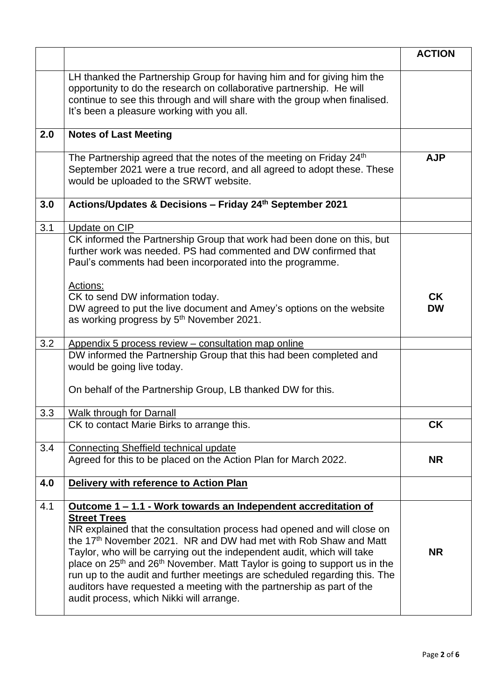|     |                                                                                                                                                                                                                                                                                                                                                                                                                                                                                                                                                                    | <b>ACTION</b>          |
|-----|--------------------------------------------------------------------------------------------------------------------------------------------------------------------------------------------------------------------------------------------------------------------------------------------------------------------------------------------------------------------------------------------------------------------------------------------------------------------------------------------------------------------------------------------------------------------|------------------------|
|     | LH thanked the Partnership Group for having him and for giving him the<br>opportunity to do the research on collaborative partnership. He will<br>continue to see this through and will share with the group when finalised.<br>It's been a pleasure working with you all.                                                                                                                                                                                                                                                                                         |                        |
| 2.0 | <b>Notes of Last Meeting</b>                                                                                                                                                                                                                                                                                                                                                                                                                                                                                                                                       |                        |
|     | The Partnership agreed that the notes of the meeting on Friday 24 <sup>th</sup><br>September 2021 were a true record, and all agreed to adopt these. These<br>would be uploaded to the SRWT website.                                                                                                                                                                                                                                                                                                                                                               | <b>AJP</b>             |
| 3.0 | Actions/Updates & Decisions - Friday 24th September 2021                                                                                                                                                                                                                                                                                                                                                                                                                                                                                                           |                        |
| 3.1 | Update on CIP                                                                                                                                                                                                                                                                                                                                                                                                                                                                                                                                                      |                        |
|     | CK informed the Partnership Group that work had been done on this, but<br>further work was needed. PS had commented and DW confirmed that<br>Paul's comments had been incorporated into the programme.                                                                                                                                                                                                                                                                                                                                                             |                        |
|     | Actions:<br>CK to send DW information today.<br>DW agreed to put the live document and Amey's options on the website<br>as working progress by 5 <sup>th</sup> November 2021.                                                                                                                                                                                                                                                                                                                                                                                      | <b>CK</b><br><b>DW</b> |
| 3.2 | Appendix 5 process review – consultation map online                                                                                                                                                                                                                                                                                                                                                                                                                                                                                                                |                        |
|     | DW informed the Partnership Group that this had been completed and<br>would be going live today.                                                                                                                                                                                                                                                                                                                                                                                                                                                                   |                        |
|     | On behalf of the Partnership Group, LB thanked DW for this.                                                                                                                                                                                                                                                                                                                                                                                                                                                                                                        |                        |
| 3.3 | Walk through for Darnall                                                                                                                                                                                                                                                                                                                                                                                                                                                                                                                                           |                        |
|     | CK to contact Marie Birks to arrange this.                                                                                                                                                                                                                                                                                                                                                                                                                                                                                                                         | <b>CK</b>              |
| 3.4 | Connecting Sheffield technical update                                                                                                                                                                                                                                                                                                                                                                                                                                                                                                                              |                        |
|     | Agreed for this to be placed on the Action Plan for March 2022.                                                                                                                                                                                                                                                                                                                                                                                                                                                                                                    | <b>NR</b>              |
| 4.0 | Delivery with reference to Action Plan                                                                                                                                                                                                                                                                                                                                                                                                                                                                                                                             |                        |
| 4.1 | <u>Outcome 1 – 1.1 - Work towards an Independent accreditation of</u>                                                                                                                                                                                                                                                                                                                                                                                                                                                                                              |                        |
|     | <b>Street Trees</b><br>NR explained that the consultation process had opened and will close on<br>the 17 <sup>th</sup> November 2021. NR and DW had met with Rob Shaw and Matt<br>Taylor, who will be carrying out the independent audit, which will take<br>place on 25 <sup>th</sup> and 26 <sup>th</sup> November. Matt Taylor is going to support us in the<br>run up to the audit and further meetings are scheduled regarding this. The<br>auditors have requested a meeting with the partnership as part of the<br>audit process, which Nikki will arrange. | <b>NR</b>              |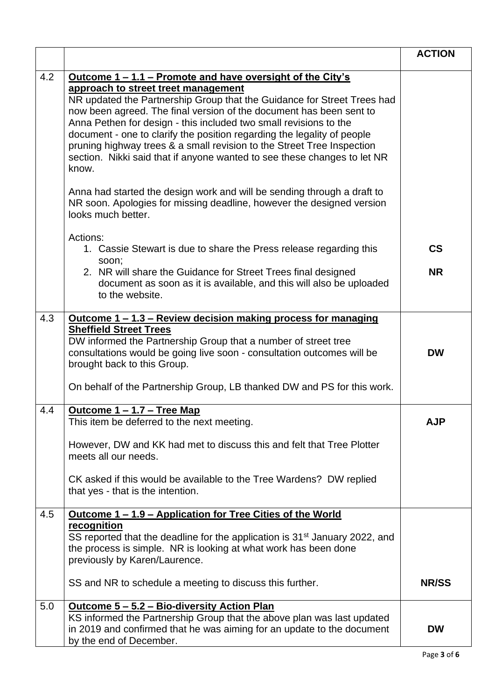|     |                                                                                                                                                                                                                                                                                                                                                                                                                                                                                                                                                                                                                                                                                                                                                            | <b>ACTION</b>                         |
|-----|------------------------------------------------------------------------------------------------------------------------------------------------------------------------------------------------------------------------------------------------------------------------------------------------------------------------------------------------------------------------------------------------------------------------------------------------------------------------------------------------------------------------------------------------------------------------------------------------------------------------------------------------------------------------------------------------------------------------------------------------------------|---------------------------------------|
| 4.2 | <u><b>Outcome 1 – 1.1 – Promote and have oversight of the City's</b></u><br>approach to street treet management<br>NR updated the Partnership Group that the Guidance for Street Trees had<br>now been agreed. The final version of the document has been sent to<br>Anna Pethen for design - this included two small revisions to the<br>document - one to clarify the position regarding the legality of people<br>pruning highway trees & a small revision to the Street Tree Inspection<br>section. Nikki said that if anyone wanted to see these changes to let NR<br>know.<br>Anna had started the design work and will be sending through a draft to<br>NR soon. Apologies for missing deadline, however the designed version<br>looks much better. |                                       |
|     | Actions:<br>1. Cassie Stewart is due to share the Press release regarding this<br>soon;<br>2. NR will share the Guidance for Street Trees final designed<br>document as soon as it is available, and this will also be uploaded<br>to the website.                                                                                                                                                                                                                                                                                                                                                                                                                                                                                                         | $\mathsf{CS}\phantom{0}$<br><b>NR</b> |
| 4.3 | <u><b>Outcome 1 – 1.3 – Review decision making process for managing</b></u><br><b>Sheffield Street Trees</b><br>DW informed the Partnership Group that a number of street tree<br>consultations would be going live soon - consultation outcomes will be<br>brought back to this Group.<br>On behalf of the Partnership Group, LB thanked DW and PS for this work.                                                                                                                                                                                                                                                                                                                                                                                         | <b>DW</b>                             |
| 4.4 | <u> Outcome 1 – 1.7 – Tree Map</u><br>This item be deferred to the next meeting.<br>However, DW and KK had met to discuss this and felt that Tree Plotter<br>meets all our needs.<br>CK asked if this would be available to the Tree Wardens? DW replied<br>that yes - that is the intention.                                                                                                                                                                                                                                                                                                                                                                                                                                                              | <b>AJP</b>                            |
| 4.5 | <u><b>Outcome 1 – 1.9 – Application for Tree Cities of the World</b></u><br>recognition<br>SS reported that the deadline for the application is 31 <sup>st</sup> January 2022, and<br>the process is simple. NR is looking at what work has been done<br>previously by Karen/Laurence.<br>SS and NR to schedule a meeting to discuss this further.                                                                                                                                                                                                                                                                                                                                                                                                         | <b>NR/SS</b>                          |
| 5.0 | <u><b>Outcome 5 - 5.2 - Bio-diversity Action Plan</b></u><br>KS informed the Partnership Group that the above plan was last updated<br>in 2019 and confirmed that he was aiming for an update to the document<br>by the end of December.                                                                                                                                                                                                                                                                                                                                                                                                                                                                                                                   | <b>DW</b>                             |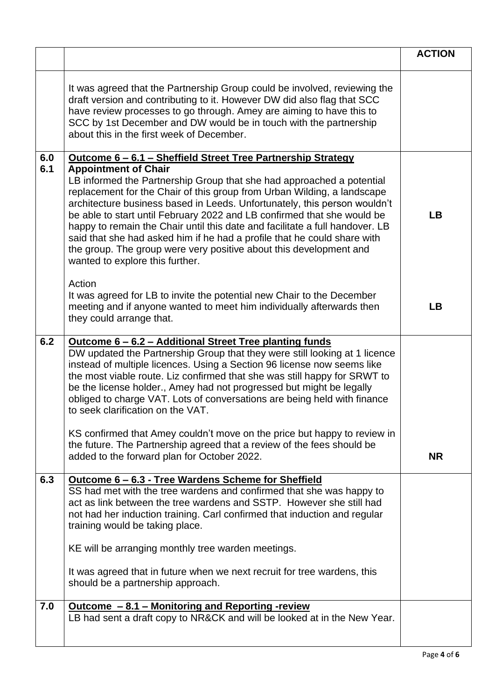|            |                                                                                                                                                                                                                                                                                                                                                                                                                                                                                                                                                                               | <b>ACTION</b> |
|------------|-------------------------------------------------------------------------------------------------------------------------------------------------------------------------------------------------------------------------------------------------------------------------------------------------------------------------------------------------------------------------------------------------------------------------------------------------------------------------------------------------------------------------------------------------------------------------------|---------------|
|            | It was agreed that the Partnership Group could be involved, reviewing the<br>draft version and contributing to it. However DW did also flag that SCC<br>have review processes to go through. Amey are aiming to have this to<br>SCC by 1st December and DW would be in touch with the partnership<br>about this in the first week of December.                                                                                                                                                                                                                                |               |
| 6.0<br>6.1 | <u><b>Outcome 6 – 6.1 – Sheffield Street Tree Partnership Strategy</b></u><br><b>Appointment of Chair</b>                                                                                                                                                                                                                                                                                                                                                                                                                                                                     |               |
|            | LB informed the Partnership Group that she had approached a potential<br>replacement for the Chair of this group from Urban Wilding, a landscape<br>architecture business based in Leeds. Unfortunately, this person wouldn't<br>be able to start until February 2022 and LB confirmed that she would be<br>happy to remain the Chair until this date and facilitate a full handover. LB<br>said that she had asked him if he had a profile that he could share with<br>the group. The group were very positive about this development and<br>wanted to explore this further. | <b>LB</b>     |
|            | Action<br>It was agreed for LB to invite the potential new Chair to the December<br>meeting and if anyone wanted to meet him individually afterwards then<br>they could arrange that.                                                                                                                                                                                                                                                                                                                                                                                         | <b>LB</b>     |
| 6.2        | <u><b>Outcome 6 - 6.2 - Additional Street Tree planting funds</b></u><br>DW updated the Partnership Group that they were still looking at 1 licence<br>instead of multiple licences. Using a Section 96 license now seems like<br>the most viable route. Liz confirmed that she was still happy for SRWT to<br>be the license holder., Amey had not progressed but might be legally<br>obliged to charge VAT. Lots of conversations are being held with finance<br>to seek clarification on the VAT.                                                                          |               |
|            | KS confirmed that Amey couldn't move on the price but happy to review in<br>the future. The Partnership agreed that a review of the fees should be<br>added to the forward plan for October 2022.                                                                                                                                                                                                                                                                                                                                                                             | <b>NR</b>     |
| 6.3        | Outcome 6 - 6.3 - Tree Wardens Scheme for Sheffield<br>SS had met with the tree wardens and confirmed that she was happy to<br>act as link between the tree wardens and SSTP. However she still had<br>not had her induction training. Carl confirmed that induction and regular<br>training would be taking place.<br>KE will be arranging monthly tree warden meetings.<br>It was agreed that in future when we next recruit for tree wardens, this                                                                                                                         |               |
|            | should be a partnership approach.                                                                                                                                                                                                                                                                                                                                                                                                                                                                                                                                             |               |
| 7.0        | <u><b>Outcome - 8.1 - Monitoring and Reporting -review</b></u><br>LB had sent a draft copy to NR&CK and will be looked at in the New Year.                                                                                                                                                                                                                                                                                                                                                                                                                                    |               |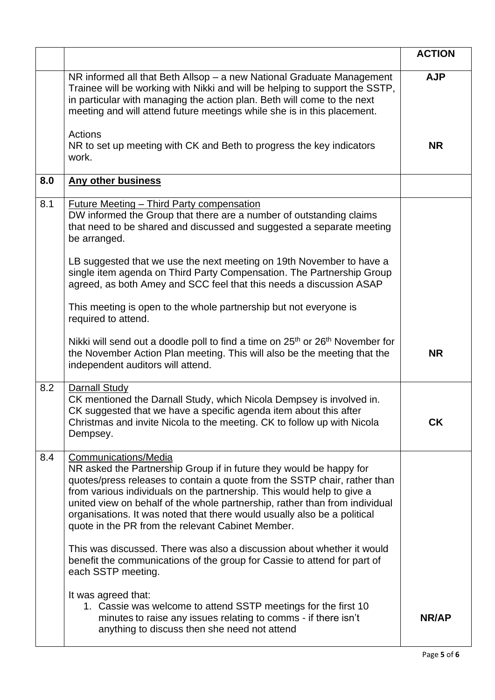|     |                                                                                                                                                                                                                                                                                                                                                                                                                                                                    | <b>ACTION</b> |
|-----|--------------------------------------------------------------------------------------------------------------------------------------------------------------------------------------------------------------------------------------------------------------------------------------------------------------------------------------------------------------------------------------------------------------------------------------------------------------------|---------------|
|     | NR informed all that Beth Allsop - a new National Graduate Management<br>Trainee will be working with Nikki and will be helping to support the SSTP,<br>in particular with managing the action plan. Beth will come to the next<br>meeting and will attend future meetings while she is in this placement.                                                                                                                                                         | <b>AJP</b>    |
|     | Actions<br>NR to set up meeting with CK and Beth to progress the key indicators<br>work.                                                                                                                                                                                                                                                                                                                                                                           | <b>NR</b>     |
| 8.0 | <b>Any other business</b>                                                                                                                                                                                                                                                                                                                                                                                                                                          |               |
| 8.1 | <b>Future Meeting - Third Party compensation</b><br>DW informed the Group that there are a number of outstanding claims<br>that need to be shared and discussed and suggested a separate meeting<br>be arranged.                                                                                                                                                                                                                                                   |               |
|     | LB suggested that we use the next meeting on 19th November to have a<br>single item agenda on Third Party Compensation. The Partnership Group<br>agreed, as both Amey and SCC feel that this needs a discussion ASAP                                                                                                                                                                                                                                               |               |
|     | This meeting is open to the whole partnership but not everyone is<br>required to attend.                                                                                                                                                                                                                                                                                                                                                                           |               |
|     | Nikki will send out a doodle poll to find a time on 25 <sup>th</sup> or 26 <sup>th</sup> November for<br>the November Action Plan meeting. This will also be the meeting that the<br>independent auditors will attend.                                                                                                                                                                                                                                             | <b>NR</b>     |
| 8.2 | Darnall Study<br>CK mentioned the Darnall Study, which Nicola Dempsey is involved in.<br>CK suggested that we have a specific agenda item about this after<br>Christmas and invite Nicola to the meeting. CK to follow up with Nicola<br>Dempsey.                                                                                                                                                                                                                  | СK            |
| 8.4 | Communications/Media<br>NR asked the Partnership Group if in future they would be happy for<br>quotes/press releases to contain a quote from the SSTP chair, rather than<br>from various individuals on the partnership. This would help to give a<br>united view on behalf of the whole partnership, rather than from individual<br>organisations. It was noted that there would usually also be a political<br>quote in the PR from the relevant Cabinet Member. |               |
|     | This was discussed. There was also a discussion about whether it would<br>benefit the communications of the group for Cassie to attend for part of<br>each SSTP meeting.                                                                                                                                                                                                                                                                                           |               |
|     | It was agreed that:<br>1. Cassie was welcome to attend SSTP meetings for the first 10<br>minutes to raise any issues relating to comms - if there isn't<br>anything to discuss then she need not attend                                                                                                                                                                                                                                                            | NR/AP         |